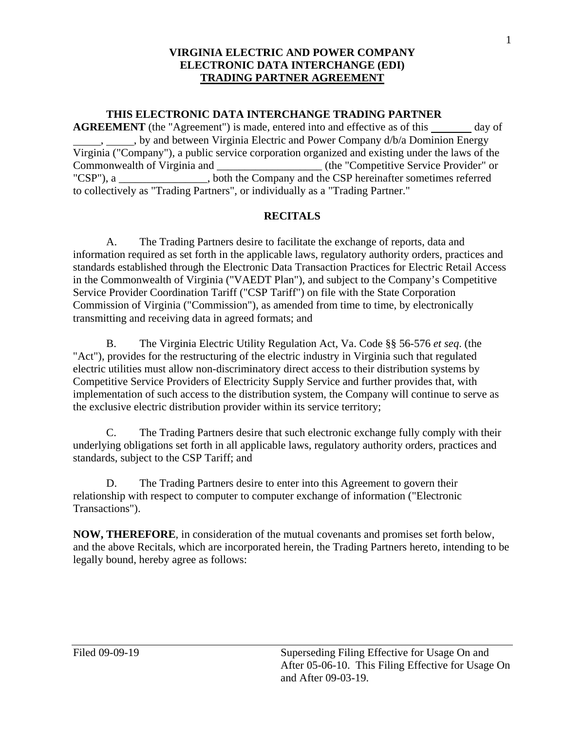#### **THIS ELECTRONIC DATA INTERCHANGE TRADING PARTNER**

**AGREEMENT** (the "Agreement") is made, entered into and effective as of this \_\_\_\_\_\_ day of , , by and between Virginia Electric and Power Company d/b/a Dominion Energy Virginia ("Company"), a public service corporation organized and existing under the laws of the Commonwealth of Virginia and \_\_\_\_\_\_\_\_\_\_\_\_\_\_\_\_\_\_\_\_\_\_ (the "Competitive Service Provider" or "CSP"), a \_\_\_\_\_\_\_\_\_\_\_\_\_\_\_\_, both the Company and the CSP hereinafter sometimes referred to collectively as "Trading Partners", or individually as a "Trading Partner."

#### **RECITALS**

 in the Commonwealth of Virginia ("VAEDT Plan"), and subject to the Company's Competitive Service Provider Coordination Tariff ("CSP Tariff") on file with the State Corporation A. The Trading Partners desire to facilitate the exchange of reports, data and information required as set forth in the applicable laws, regulatory authority orders, practices and standards established through the Electronic Data Transaction Practices for Electric Retail Access Commission of Virginia ("Commission"), as amended from time to time, by electronically transmitting and receiving data in agreed formats; and

 Competitive Service Providers of Electricity Supply Service and further provides that, with B. The Virginia Electric Utility Regulation Act, Va. Code §§ 56-576 *et seq*. (the "Act"), provides for the restructuring of the electric industry in Virginia such that regulated electric utilities must allow non-discriminatory direct access to their distribution systems by implementation of such access to the distribution system, the Company will continue to serve as the exclusive electric distribution provider within its service territory;

 underlying obligations set forth in all applicable laws, regulatory authority orders, practices and C. The Trading Partners desire that such electronic exchange fully comply with their standards, subject to the CSP Tariff; and

D. The Trading Partners desire to enter into this Agreement to govern their relationship with respect to computer to computer exchange of information ("Electronic Transactions").

**NOW, THEREFORE**, in consideration of the mutual covenants and promises set forth below, and the above Recitals, which are incorporated herein, the Trading Partners hereto, intending to be legally bound, hereby agree as follows: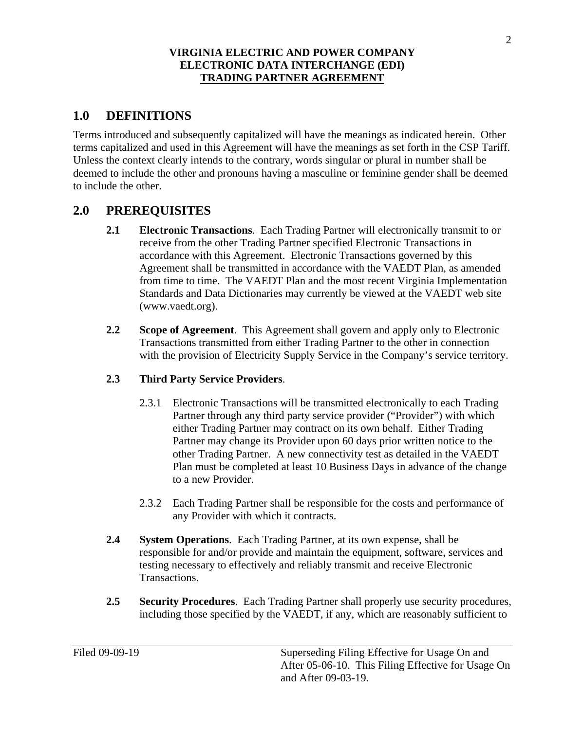# **1.0 DEFINITIONS**

 Terms introduced and subsequently capitalized will have the meanings as indicated herein. Other terms capitalized and used in this Agreement will have the meanings as set forth in the CSP Tariff. Unless the context clearly intends to the contrary, words singular or plural in number shall be deemed to include the other and pronouns having a masculine or feminine gender shall be deemed to include the other.

# **2.0 PREREQUISITES**

- accordance with this Agreement. Electronic Transactions governed by this Standards and Data Dictionaries may currently be viewed at the VAEDT web site **2.1 Electronic Transactions**. Each Trading Partner will electronically transmit to or receive from the other Trading Partner specified Electronic Transactions in Agreement shall be transmitted in accordance with the VAEDT Plan, as amended from time to time. The VAEDT Plan and the most recent Virginia Implementation (www.vaedt.org).
- **2.2 Scope of Agreement**. This Agreement shall govern and apply only to Electronic Transactions transmitted from either Trading Partner to the other in connection with the provision of Electricity Supply Service in the Company's service territory.

### **2.3 Third Party Service Providers**.

- 2.3.1 Electronic Transactions will be transmitted electronically to each Trading Partner may change its Provider upon 60 days prior written notice to the Partner through any third party service provider ("Provider") with which either Trading Partner may contract on its own behalf. Either Trading other Trading Partner. A new connectivity test as detailed in the VAEDT Plan must be completed at least 10 Business Days in advance of the change to a new Provider.
- 2.3.2 Each Trading Partner shall be responsible for the costs and performance of any Provider with which it contracts.
- **2.4 System Operations**. Each Trading Partner, at its own expense, shall be responsible for and/or provide and maintain the equipment, software, services and testing necessary to effectively and reliably transmit and receive Electronic Transactions.
- **2.5 Security Procedures**. Each Trading Partner shall properly use security procedures, including those specified by the VAEDT, if any, which are reasonably sufficient to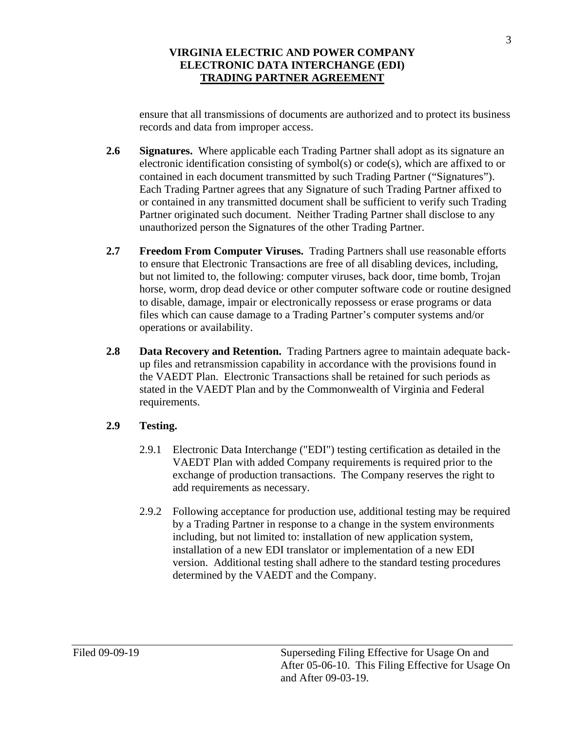ensure that all transmissions of documents are authorized and to protect its business records and data from improper access.

- **2.6 Signatures.** Where applicable each Trading Partner shall adopt as its signature an Each Trading Partner agrees that any Signature of such Trading Partner affixed to unauthorized person the Signatures of the other Trading Partner. electronic identification consisting of symbol(s) or  $code(s)$ , which are affixed to or contained in each document transmitted by such Trading Partner ("Signatures"). or contained in any transmitted document shall be sufficient to verify such Trading Partner originated such document. Neither Trading Partner shall disclose to any
- **2.7 Freedom From Computer Viruses.** Trading Partners shall use reasonable efforts to ensure that Electronic Transactions are free of all disabling devices, including, but not limited to, the following: computer viruses, back door, time bomb, Trojan horse, worm, drop dead device or other computer software code or routine designed to disable, damage, impair or electronically repossess or erase programs or data files which can cause damage to a Trading Partner's computer systems and/or operations or availability.
- **2.8 Data Recovery and Retention.** Trading Partners agree to maintain adequate backup files and retransmission capability in accordance with the provisions found in the VAEDT Plan. Electronic Transactions shall be retained for such periods as stated in the VAEDT Plan and by the Commonwealth of Virginia and Federal requirements.

### **2.9 Testing.**

- 2.9.1 Electronic Data Interchange ("EDI") testing certification as detailed in the VAEDT Plan with added Company requirements is required prior to the exchange of production transactions. The Company reserves the right to add requirements as necessary.
- 2.9.2 Following acceptance for production use, additional testing may be required by a Trading Partner in response to a change in the system environments including, but not limited to: installation of new application system, installation of a new EDI translator or implementation of a new EDI version. Additional testing shall adhere to the standard testing procedures determined by the VAEDT and the Company.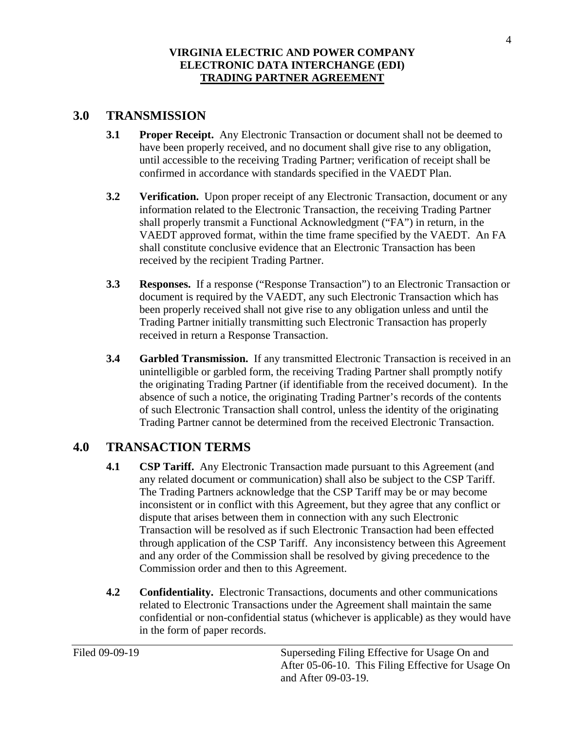## **3.0 TRANSMISSION**

- **3.1 Proper Receipt.** Any Electronic Transaction or document shall not be deemed to confirmed in accordance with standards specified in the VAEDT Plan. have been properly received, and no document shall give rise to any obligation, until accessible to the receiving Trading Partner; verification of receipt shall be
- **3.2 Verification.** Upon proper receipt of any Electronic Transaction, document or any shall properly transmit a Functional Acknowledgment ("FA") in return, in the information related to the Electronic Transaction, the receiving Trading Partner VAEDT approved format, within the time frame specified by the VAEDT. An FA shall constitute conclusive evidence that an Electronic Transaction has been received by the recipient Trading Partner.
- **3.3 Responses.** If a response ("Response Transaction") to an Electronic Transaction or been properly received shall not give rise to any obligation unless and until the Trading Partner initially transmitting such Electronic Transaction has properly document is required by the VAEDT, any such Electronic Transaction which has received in return a Response Transaction.
- **3.4 Garbled Transmission.** If any transmitted Electronic Transaction is received in an the originating Trading Partner (if identifiable from the received document). In the unintelligible or garbled form, the receiving Trading Partner shall promptly notify absence of such a notice, the originating Trading Partner's records of the contents of such Electronic Transaction shall control, unless the identity of the originating Trading Partner cannot be determined from the received Electronic Transaction.

# **4.0 TRANSACTION TERMS**

- **4.1 CSP Tariff.** Any Electronic Transaction made pursuant to this Agreement (and The Trading Partners acknowledge that the CSP Tariff may be or may become dispute that arises between them in connection with any such Electronic and any order of the Commission shall be resolved by giving precedence to the any related document or communication) shall also be subject to the CSP Tariff. inconsistent or in conflict with this Agreement, but they agree that any conflict or Transaction will be resolved as if such Electronic Transaction had been effected through application of the CSP Tariff. Any inconsistency between this Agreement Commission order and then to this Agreement.
- **4.2** Confidentiality. Electronic Transactions, documents and other communications related to Electronic Transactions under the Agreement shall maintain the same confidential or non-confidential status (whichever is applicable) as they would have in the form of paper records.

 and After 09-03-19. Filed 09-09-19 Superseding Filing Effective for Usage On and After 05-06-10. This Filing Effective for Usage On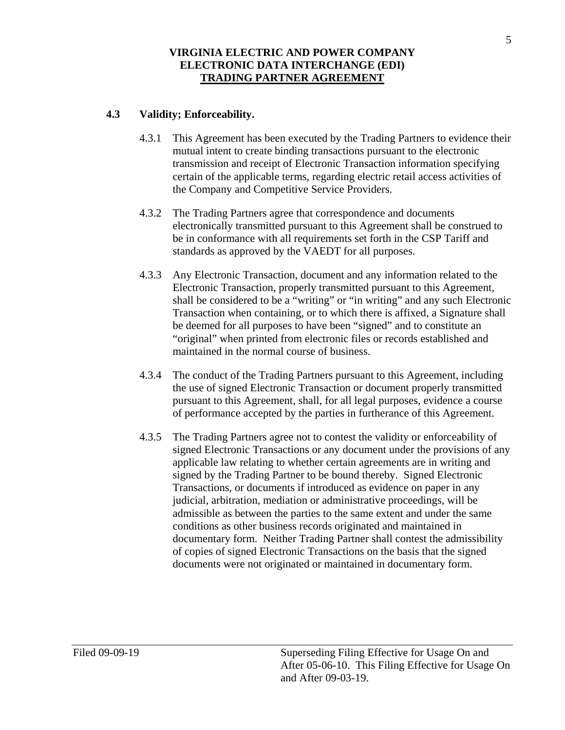### **4.3 Validity; Enforceability.**

- 4.3.1 This Agreement has been executed by the Trading Partners to evidence their mutual intent to create binding transactions pursuant to the electronic transmission and receipt of Electronic Transaction information specifying certain of the applicable terms, regarding electric retail access activities of the Company and Competitive Service Providers.
- 4.3.2 The Trading Partners agree that correspondence and documents electronically transmitted pursuant to this Agreement shall be construed to be in conformance with all requirements set forth in the CSP Tariff and standards as approved by the VAEDT for all purposes.
- 4.3.3 Any Electronic Transaction, document and any information related to the Electronic Transaction, properly transmitted pursuant to this Agreement, shall be considered to be a "writing" or "in writing" and any such Electronic Transaction when containing, or to which there is affixed, a Signature shall be deemed for all purposes to have been "signed" and to constitute an "original" when printed from electronic files or records established and maintained in the normal course of business.
- 4.3.4 The conduct of the Trading Partners pursuant to this Agreement, including pursuant to this Agreement, shall, for all legal purposes, evidence a course the use of signed Electronic Transaction or document properly transmitted of performance accepted by the parties in furtherance of this Agreement.
- of copies of signed Electronic Transactions on the basis that the signed 4.3.5 The Trading Partners agree not to contest the validity or enforceability of signed Electronic Transactions or any document under the provisions of any applicable law relating to whether certain agreements are in writing and signed by the Trading Partner to be bound thereby. Signed Electronic Transactions, or documents if introduced as evidence on paper in any judicial, arbitration, mediation or administrative proceedings, will be admissible as between the parties to the same extent and under the same conditions as other business records originated and maintained in documentary form. Neither Trading Partner shall contest the admissibility documents were not originated or maintained in documentary form.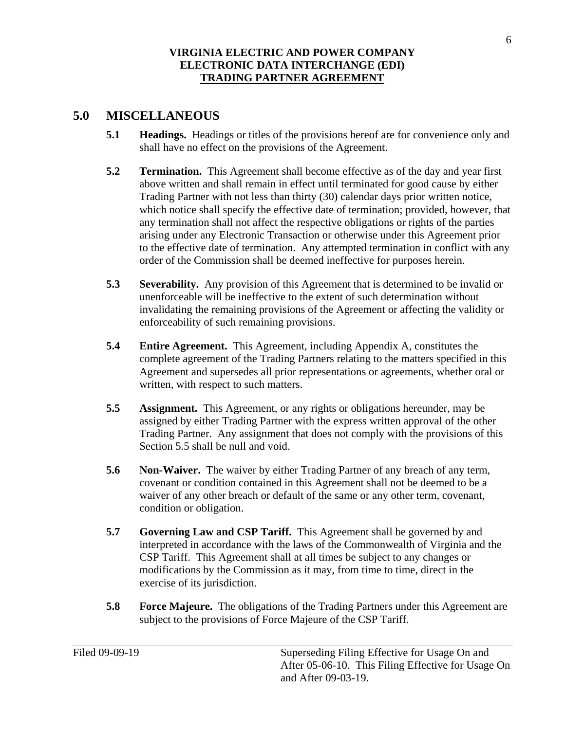## **5.0 MISCELLANEOUS**

- **5.1 Headings.** Headings or titles of the provisions hereof are for convenience only and shall have no effect on the provisions of the Agreement.
- above written and shall remain in effect until terminated for good cause by either which notice shall specify the effective date of termination; provided, however, that **5.2 Termination.** This Agreement shall become effective as of the day and year first Trading Partner with not less than thirty (30) calendar days prior written notice, any termination shall not affect the respective obligations or rights of the parties arising under any Electronic Transaction or otherwise under this Agreement prior to the effective date of termination. Any attempted termination in conflict with any order of the Commission shall be deemed ineffective for purposes herein.
- **5.3 Severability.** Any provision of this Agreement that is determined to be invalid or unenforceable will be ineffective to the extent of such determination without invalidating the remaining provisions of the Agreement or affecting the validity or enforceability of such remaining provisions.
- **5.4 Entire Agreement.** This Agreement, including Appendix A, constitutes the complete agreement of the Trading Partners relating to the matters specified in this Agreement and supersedes all prior representations or agreements, whether oral or written, with respect to such matters.
- **5.5** Assignment. This Agreement, or any rights or obligations hereunder, may be assigned by either Trading Partner with the express written approval of the other Trading Partner. Any assignment that does not comply with the provisions of this Section 5.5 shall be null and void.
- waiver of any other breach or default of the same or any other term, covenant, **5.6 Non-Waiver.** The waiver by either Trading Partner of any breach of any term, covenant or condition contained in this Agreement shall not be deemed to be a condition or obligation.
- 5.7 Governing Law and CSP Tariff. This Agreement shall be governed by and CSP Tariff. This Agreement shall at all times be subject to any changes or modifications by the Commission as it may, from time to time, direct in the interpreted in accordance with the laws of the Commonwealth of Virginia and the exercise of its jurisdiction.
- **5.8 Force Majeure.** The obligations of the Trading Partners under this Agreement are subject to the provisions of Force Majeure of the CSP Tariff.

6

 and After 09-03-19. Filed 09-09-19 Superseding Filing Effective for Usage On and After 05-06-10. This Filing Effective for Usage On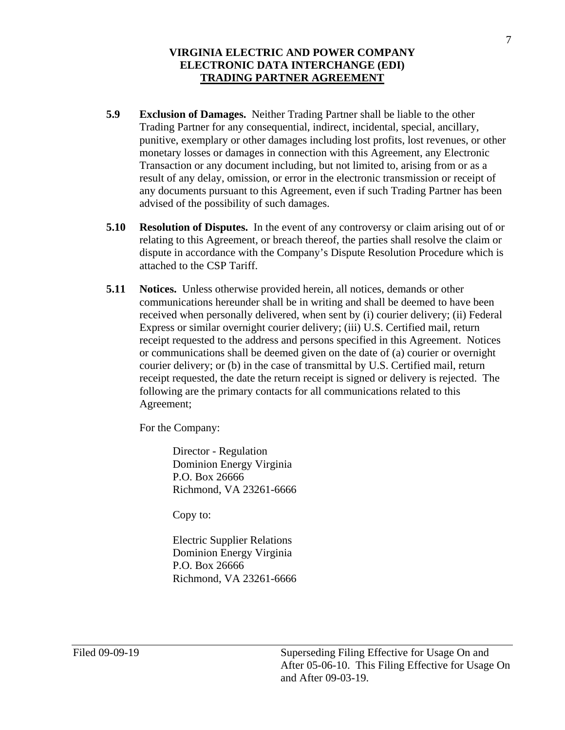- **5.9 Exclusion of Damages.** Neither Trading Partner shall be liable to the other Trading Partner for any consequential, indirect, incidental, special, ancillary, punitive, exemplary or other damages including lost profits, lost revenues, or other monetary losses or damages in connection with this Agreement, any Electronic Transaction or any document including, but not limited to, arising from or as a result of any delay, omission, or error in the electronic transmission or receipt of any documents pursuant to this Agreement, even if such Trading Partner has been advised of the possibility of such damages.
- **5.10 Resolution of Disputes.** In the event of any controversy or claim arising out of or relating to this Agreement, or breach thereof, the parties shall resolve the claim or dispute in accordance with the Company's Dispute Resolution Procedure which is attached to the CSP Tariff.
- **5.11 Notices.** Unless otherwise provided herein, all notices, demands or other or communications shall be deemed given on the date of (a) courier or overnight communications hereunder shall be in writing and shall be deemed to have been received when personally delivered, when sent by (i) courier delivery; (ii) Federal Express or similar overnight courier delivery; (iii) U.S. Certified mail, return receipt requested to the address and persons specified in this Agreement. Notices courier delivery; or (b) in the case of transmittal by U.S. Certified mail, return receipt requested, the date the return receipt is signed or delivery is rejected. The following are the primary contacts for all communications related to this Agreement;

For the Company:

 Director - Regulation Dominion Energy Virginia P.O. Box 26666 Richmond, VA 23261-6666

Copy to:

Electric Supplier Relations Dominion Energy Virginia P.O. Box 26666 Richmond, VA 23261-6666